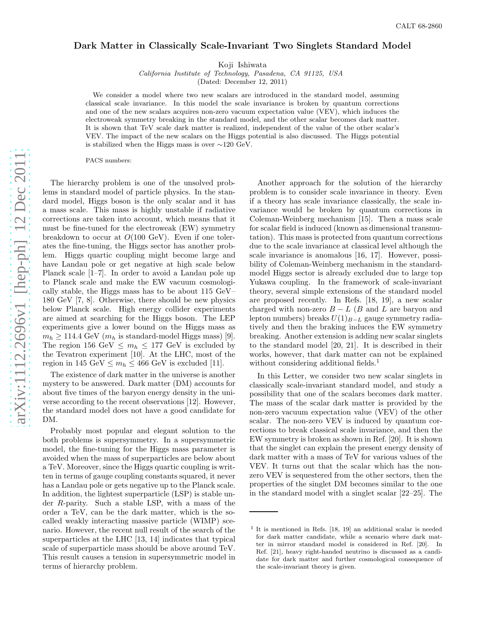## Dark Matter in Classically Scale-Invariant Two Singlets Standard Model

Koji Ishiwata

California Institute of Technology, Pasadena, CA 91125, USA

(Dated: December 12, 2011)

We consider a model where two new scalars are introduced in the standard model, assuming classical scale invariance. In this model the scale invariance is broken by quantum corrections and one of the new scalars acquires non-zero vacuum expectation value (VEV), which induces the electroweak symmetry breaking in the standard model, and the other scalar becomes dark matter. It is shown that TeV scale dark matter is realized, independent of the value of the other scalar's VEV. The impact of the new scalars on the Higgs potential is also discussed. The Higgs potential is stabilized when the Higgs mass is over ∼120 GeV.

PACS numbers:

The hierarchy problem is one of the unsolved problems in standard model of particle physics. In the standard model, Higgs boson is the only scalar and it has a mass scale. This mass is highly unstable if radiative corrections are taken into account, which means that it must be fine-tuned for the electroweak (EW) symmetry breakdown to occur at  $O(100 \text{ GeV})$ . Even if one tolerates the fine-tuning, the Higgs sector has another problem. Higgs quartic coupling might become large and have Landau pole or get negative at high scale below Planck scale [1–7]. In order to avoid a Landau pole up to Planck scale and make the EW vacuum cosmologically stable, the Higgs mass has to be about 115 GeV– 180 GeV [7, 8]. Otherwise, there should be new physics below Planck scale. High energy collider experiments are aimed at searching for the Higgs boson. The LEP experiments give a lower bound on the Higgs mass as  $m_h \ge 114.4$  GeV ( $m_h$  is standard-model Higgs mass) [9]. The region 156 GeV  $\leq m_h \leq 177$  GeV is excluded by the Tevatron experiment [10]. At the LHC, most of the region in 145 GeV  $\leq m_h \leq 466$  GeV is excluded [11].

The existence of dark matter in the universe is another mystery to be answered. Dark matter (DM) accounts for about five times of the baryon energy density in the universe according to the recent observations [12]. However, the standard model does not have a good candidate for DM.

Probably most popular and elegant solution to the both problems is supersymmetry. In a supersymmetric model, the fine-tuning for the Higgs mass parameter is avoided when the mass of superparticles are below about a TeV. Moreover, since the Higgs quartic coupling is written in terms of gauge coupling constants squared, it never has a Landau pole or gets negative up to the Planck scale. In addition, the lightest superparticle (LSP) is stable under R-parity. Such a stable LSP, with a mass of the order a TeV, can be the dark matter, which is the socalled weakly interacting massive particle (WIMP) scenario. However, the recent null result of the search of the superparticles at the LHC [13, 14] indicates that typical scale of superparticle mass should be above around TeV. This result causes a tension in supersymmetric model in terms of hierarchy problem.

Another approach for the solution of the hierarchy problem is to consider scale invariance in theory. Even if a theory has scale invariance classically, the scale invariance would be broken by quantum corrections in Coleman-Weinberg mechanism [15]. Then a mass scale for scalar field is induced (known as dimensional transmutation). This mass is protected from quantum corrections due to the scale invariance at classical level although the scale invariance is anomalous [16, 17]. However, possibility of Coleman-Weinberg mechanism in the standardmodel Higgs sector is already excluded due to large top Yukawa coupling. In the framework of scale-invariant theory, several simple extensions of the standard model are proposed recently. In Refs. [18, 19], a new scalar charged with non-zero  $B - L$  (B and L are baryon and lepton numbers) breaks  $U(1)_{B-L}$  gauge symmetry radiatively and then the braking induces the EW symmetry breaking. Another extension is adding new scalar singlets to the standard model [20, 21]. It is described in their works, however, that dark matter can not be explained without considering additional fields.<sup>1</sup>

In this Letter, we consider two new scalar singlets in classically scale-invariant standard model, and study a possibility that one of the scalars becomes dark matter. The mass of the scalar dark matter is provided by the non-zero vacuum expectation value (VEV) of the other scalar. The non-zero VEV is induced by quantum corrections to break classical scale invariance, and then the EW symmetry is broken as shown in Ref. [20]. It is shown that the singlet can explain the present energy density of dark matter with a mass of TeV for various values of the VEV. It turns out that the scalar which has the nonzero VEV is sequestered from the other sectors, then the properties of the singlet DM becomes similar to the one in the standard model with a singlet scalar [22–25]. The

<sup>1</sup> It is mentioned in Refs. [18, 19] an additional scalar is needed for dark matter candidate, while a scenario where dark matter in mirror standard model is considered in Ref. [20]. In Ref. [21], heavy right-handed neutrino is discussed as a candidate for dark matter and further cosmological consequence of the scale-invariant theory is given.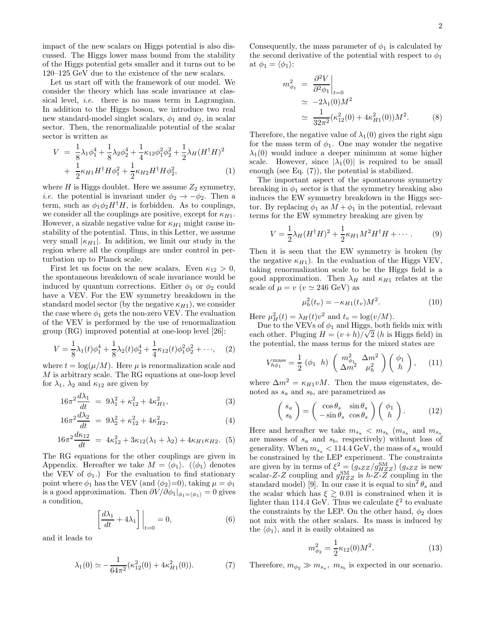impact of the new scalars on Higgs potential is also discussed. The Higgs lower mass bound from the stability of the Higgs potential gets smaller and it turns out to be 120–125 GeV due to the existence of the new scalars.

Let us start off with the framework of our model. We consider the theory which has scale invariance at classical level, *i.e.* there is no mass term in Lagrangian. In addition to the Higgs boson, we introduce two real new standard-model singlet scalars,  $\phi_1$  and  $\phi_2$ , in scalar sector. Then, the renormalizable potential of the scalar sector is written as

$$
V = \frac{1}{8}\lambda_1\phi_1^4 + \frac{1}{8}\lambda_2\phi_2^4 + \frac{1}{4}\kappa_{12}\phi_1^2\phi_2^2 + \frac{1}{2}\lambda_H(H^{\dagger}H)^2
$$
  
+ 
$$
\frac{1}{2}\kappa_{H1}H^{\dagger}H\phi_1^2 + \frac{1}{2}\kappa_{H2}H^{\dagger}H\phi_2^2,
$$
 (1)

where  $H$  is Higgs doublet. Here we assume  $Z_2$  symmetry, *i.e.* the potential is invariant under  $\phi_2 \rightarrow -\phi_2$ . Then a term, such as  $\phi_1 \phi_2 H^{\dagger} H$ , is forbidden. As to couplings, we consider all the couplings are positive, except for  $\kappa_{H1}$ . However, a sizable negative value for  $\kappa_{H1}$  might cause instability of the potential. Thus, in this Letter, we assume very small  $|\kappa_{H1}|$ . In addition, we limit our study in the region where all the couplings are under control in perturbation up to Planck scale.

First let us focus on the new scalars. Even  $\kappa_{12} > 0$ , the spontaneous breakdown of scale invariance would be induced by quantum corrections. Either  $\phi_1$  or  $\phi_2$  could have a VEV. For the EW symmetry breakdown in the standard model sector (by the negative  $\kappa_{H1}$ ), we consider the case where  $\phi_1$  gets the non-zero VEV. The evaluation of the VEV is performed by the use of renormalization group (RG) improved potential at one-loop level [26]:

$$
V = \frac{1}{8}\lambda_1(t)\phi_1^4 + \frac{1}{8}\lambda_2(t)\phi_2^4 + \frac{1}{4}\kappa_{12}(t)\phi_1^2\phi_2^2 + \cdots,
$$
 (2)

where  $t = \log(\mu/M)$ . Here  $\mu$  is renormalization scale and M is arbitrary scale. The RG equations at one-loop level for  $\lambda_1$ ,  $\lambda_2$  and  $\kappa_{12}$  are given by

$$
16\pi^2 \frac{d\lambda_1}{dt} = 9\lambda_1^2 + \kappa_{12}^2 + 4\kappa_{H1}^2, \tag{3}
$$

$$
16\pi^2 \frac{d\lambda_2}{dt} = 9\lambda_2^2 + \kappa_{12}^2 + 4\kappa_{H2}^2, \tag{4}
$$

$$
16\pi^2 \frac{d\kappa_{12}}{dt} = 4\kappa_{12}^2 + 3\kappa_{12}(\lambda_1 + \lambda_2) + 4\kappa_{H1}\kappa_{H2}.
$$
 (5)

The RG equations for the other couplings are given in Appendix. Hereafter we take  $M = \langle \phi_1 \rangle$ .  $(\langle \phi_1 \rangle)$  denotes the VEV of  $\phi_1$ .) For the evaluation to find stationary point where  $\phi_1$  has the VEV (and  $\langle \phi_2 \rangle = 0$ ), taking  $\mu = \phi_1$ is a good approximation. Then  $\frac{\partial V}{\partial \phi_1}|_{\phi_1 = (\phi_1)} = 0$  gives a condition,

$$
\left[\frac{d\lambda_1}{dt} + 4\lambda_1\right]\Big|_{t=0} = 0,\tag{6}
$$

and it leads to

$$
\lambda_1(0) \simeq -\frac{1}{64\pi^2} (\kappa_{12}^2(0) + 4\kappa_{H1}^2(0)).
$$
 (7)

Consequently, the mass parameter of  $\phi_1$  is calculated by the second derivative of the potential with respect to  $\phi_1$ at  $\phi_1 = \langle \phi_1 \rangle$ :

$$
m_{\phi_1}^2 = \left. \frac{\partial^2 V}{\partial^2 \phi_1} \right|_{t=0}
$$
  
\n
$$
\simeq -2\lambda_1(0)M^2
$$
  
\n
$$
\simeq \frac{1}{32\pi^2} (\kappa_{12}^2(0) + 4\kappa_{H1}^2(0))M^2.
$$
 (8)

Therefore, the negative value of  $\lambda_1(0)$  gives the right sign for the mass term of  $\phi_1$ . One may wonder the negative  $\lambda_1(0)$  would induce a deeper minimum at some higher scale. However, since  $|\lambda_1(0)|$  is required to be small enough (see Eq. (7)), the potential is stabilized.

The important aspect of the spontaneous symmetry breaking in  $\phi_1$  sector is that the symmetry breaking also induces the EW symmetry breakdown in the Higgs sector. By replacing  $\phi_1$  as  $M + \phi_1$  in the potential, relevant terms for the EW symmetry breaking are given by

$$
V = \frac{1}{2}\lambda_H (H^{\dagger}H)^2 + \frac{1}{2}\kappa_{H1}M^2H^{\dagger}H + \cdots. \tag{9}
$$

Then it is seen that the EW symmetry is broken (by the negative  $\kappa_{H1}$ ). In the evaluation of the Higgs VEV, taking renormalization scale to be the Higgs field is a good approximation. Then  $\lambda_H$  and  $\kappa_{H1}$  relates at the scale of  $\mu = v$  ( $v \approx 246$  GeV) as

$$
\mu_h^2(t_v) = -\kappa_{H1}(t_v)M^2.
$$
 (10)

Here  $\mu_H^2(t) = \lambda_H(t)v^2$  and  $t_v = \log(v/M)$ .

Due to the VEVs of  $\phi_1$  and Higgs, both fields mix with each other. Pluging  $H = (v + h)/\sqrt{2}$  (h is Higgs field) in the potential, the mass terms for the mixed states are

$$
V_{h\phi_1}^{\text{mass}} = \frac{1}{2} \left( \phi_1 \ h \right) \left( \frac{m_{\phi_1}^2}{\Delta m^2} \frac{\Delta m^2}{\mu_h^2} \right) \left( \frac{\phi_1}{h} \right), \quad (11)
$$

where  $\Delta m^2 = \kappa_{H1} v M$ . Then the mass eigenstates, denoted as  $s_a$  and  $s_b$ , are parametrized as

$$
\begin{pmatrix} s_a \\ s_b \end{pmatrix} = \begin{pmatrix} \cos \theta_s & \sin \theta_s \\ -\sin \theta_s & \cos \theta_s \end{pmatrix} \begin{pmatrix} \phi_1 \\ h \end{pmatrix}.
$$
 (12)

Here and hereafter we take  $m_{s_a} < m_{s_b}$  ( $m_{s_a}$  and  $m_{s_a}$ are masses of  $s_a$  and  $s_b$ , respectively) without loss of generality. When  $m_{s_a}$  < 114.4 GeV, the mass of  $s_a$  would be constrained by the LEP experiment. The constraints are given by in terms of  $\xi^2 = (g_{sZZ}/g_{HZZ}^{\text{SM}})(g_{sZZ}$  is new scalar-Z-Z coupling and  $g_{HZZ}^{\rm SM}$  is h-Z-Z coupling in the standard model) [9]. In our case it is equal to  $\sin^2 \theta_s$  and the scalar which has  $\xi \gtrsim 0.01$  is constrained when it is lighter than 114.4 GeV. Thus we calculate  $\xi^2$  to evaluate the constraints by the LEP. On the other hand,  $\phi_2$  does not mix with the other scalars. Its mass is induced by the  $\langle \phi_1 \rangle$ , and it is easily obtained as

$$
m_{\phi_2}^2 = \frac{1}{2} \kappa_{12}(0) M^2.
$$
 (13)

Therefore,  $m_{\phi_2} \gg m_{s_a}$ ,  $m_{s_b}$  is expected in our scenario.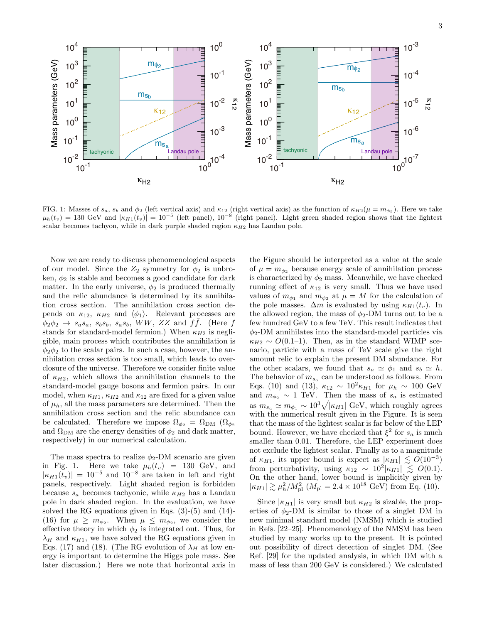

FIG. 1: Masses of  $s_a$ ,  $s_b$  and  $\phi_2$  (left vertical axis) and  $\kappa_{12}$  (right vertical axis) as the function of  $\kappa_{H2}(\mu = m_{\phi_2})$ . Here we take  $\mu_h(t_v) = 130 \text{ GeV}$  and  $|\kappa_{H1}(t_v)| = 10^{-5}$  (left panel),  $10^{-8}$  (right panel). Light green shaded region shows that the lightest scalar becomes tachyon, while in dark purple shaded region  $\kappa_{H2}$  has Landau pole.

Now we are ready to discuss phenomenological aspects of our model. Since the  $Z_2$  symmetry for  $\phi_2$  is unbroken,  $\phi_2$  is stable and becomes a good candidate for dark matter. In the early universe,  $\phi_2$  is produced thermally and the relic abundance is determined by its annihilation cross section. The annihilation cross section depends on  $\kappa_{12}$ ,  $\kappa_{H2}$  and  $\langle \phi_1 \rangle$ . Relevant processes are  $\phi_2 \phi_2 \rightarrow s_a s_a$ ,  $s_b s_b$ ,  $s_a s_b$ ,  $WW$ ,  $ZZ$  and  $f\bar{f}$ . (Here f stands for standard-model fermion.) When  $\kappa_{H2}$  is negligible, main process which contributes the annihilation is  $\phi_2\phi_2$  to the scalar pairs. In such a case, however, the annihilation cross section is too small, which leads to overclosure of the universe. Therefore we consider finite value of  $\kappa_{H2}$ , which allows the annihilation channels to the standard-model gauge bosons and fermion pairs. In our model, when  $\kappa_{H1}$ ,  $\kappa_{H2}$  and  $\kappa_{12}$  are fixed for a given value of  $\mu_h$ , all the mass parameters are determined. Then the annihilation cross section and the relic abundance can be calculated. Therefore we impose  $\Omega_{\phi_2} = \Omega_{\rm DM}$  ( $\Omega_{\phi_2}$ and  $\Omega_{\text{DM}}$  are the energy densities of  $\phi_2$  and dark matter, respectively) in our numerical calculation.

The mass spectra to realize  $\phi_2$ -DM scenario are given in Fig. 1. Here we take  $\mu_h(t_v) = 130 \text{ GeV}, \text{ and}$  $|\kappa_{H1}(t_v)| = 10^{-5}$  and  $10^{-8}$  are taken in left and right panels, respectively. Light shaded region is forbidden because  $s_a$  becomes tachyonic, while  $\kappa_{H2}$  has a Landau pole in dark shaded region. In the evaluation, we have solved the RG equations given in Eqs. (3)-(5) and (14)- (16) for  $\mu \geq m_{\phi_2}$ . When  $\mu \leq m_{\phi_2}$ , we consider the effective theory in which  $\phi_2$  is integrated out. Thus, for  $\lambda_H$  and  $\kappa_{H1}$ , we have solved the RG equations given in Eqs. (17) and (18). (The RG evolution of  $\lambda_H$  at low energy is important to determine the Higgs pole mass. See later discussion.) Here we note that horizontal axis in

the Figure should be interpreted as a value at the scale of  $\mu = m_{\phi_2}$  because energy scale of annihilation process is characterized by  $\phi_2$  mass. Meanwhile, we have checked running effect of  $\kappa_{12}$  is very small. Thus we have used values of  $m_{\phi_1}$  and  $m_{\phi_2}$  at  $\mu = M$  for the calculation of the pole masses.  $\Delta m$  is evaluated by using  $\kappa_{H_1}(t_v)$ . In the allowed region, the mass of  $\phi_2$ -DM turns out to be a few hundred GeV to a few TeV. This result indicates that  $\phi_2$ -DM annihilates into the standard-model particles via  $\kappa_{H2} \sim O(0.1-1)$ . Then, as in the standard WIMP scenario, particle with a mass of TeV scale give the right amount relic to explain the present DM abundance. For the other scalars, we found that  $s_a \simeq \phi_1$  and  $s_b \simeq h$ . The behavior of  $m_{s_a}$  can be understood as follows. From Eqs. (10) and (13),  $\kappa_{12} \sim 10^2 \kappa_{H1}$  for  $\mu_h \sim 100 \text{ GeV}$ and  $m_{\phi_2} \sim 1$  TeV. Then the mass of  $s_a$  is estimated as  $m_{s_a} \simeq m_{\phi_1} \sim 10^3 \sqrt{|\kappa_{H1}|}$  GeV, which roughly agrees with the numerical result given in the Figure. It is seen that the mass of the lightest scalar is far below of the LEP bound. However, we have checked that  $\xi^2$  for  $s_a$  is much smaller than 0.01. Therefore, the LEP experiment does not exclude the lightest scalar. Finally as to a magnitude of  $\kappa_{H1}$ , its upper bound is expect as  $|\kappa_{H1}| \lesssim O(10^{-3})$ from perturbativity, using  $\kappa_{12} \sim 10^2 |\kappa_{H1}| \lesssim O(0.1)$ . On the other hand, lower bound is implicitly given by  $|\kappa_{H1}| \gtrsim \mu_h^2/M_{\rm pl}^2$  ( $M_{\rm pl} = 2.4 \times 10^{18}$  GeV) from Eq. (10).

Since  $|\kappa_{H1}|$  is very small but  $\kappa_{H2}$  is sizable, the properties of  $\phi_2$ -DM is similar to those of a singlet DM in new minimal standard model (NMSM) which is studied in Refs. [22–25]. Phenomenology of the NMSM has been studied by many works up to the present. It is pointed out possibility of direct detection of singlet DM. (See Ref. [29] for the updated analysis, in which DM with a mass of less than 200 GeV is considered.) We calculated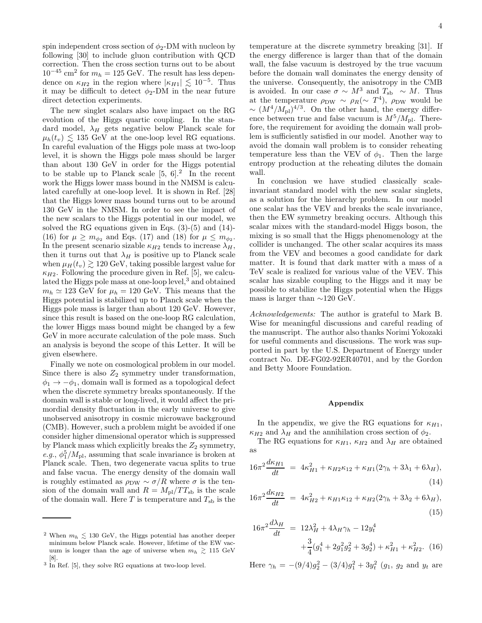spin independent cross section of  $\phi_2$ -DM with nucleon by following [30] to include gluon contribution with QCD correction. Then the cross section turns out to be about  $10^{-45}$  cm<sup>2</sup> for  $m_h = 125$  GeV. The result has less dependence on  $\kappa_{H2}$  in the region where  $|\kappa_{H1}| \lesssim 10^{-5}$ . Thus it may be difficult to detect  $\phi_2$ -DM in the near future direct detection experiments.

The new singlet scalars also have impact on the RG evolution of the Higgs quartic coupling. In the standard model,  $\lambda_H$  gets negative below Planck scale for  $\mu_h(t_v) \lesssim 135 \text{ GeV}$  at the one-loop level RG equations. In careful evaluation of the Higgs pole mass at two-loop level, it is shown the Higgs pole mass should be larger than about 130 GeV in order for the Higgs potential to be stable up to Planck scale  $[5, 6]^2$  In the recent work the Higgs lower mass bound in the NMSM is calculated carefully at one-loop level. It is shown in Ref. [28] that the Higgs lower mass bound turns out to be around 130 GeV in the NMSM. In order to see the impact of the new scalars to the Higgs potential in our model, we solved the RG equations given in Eqs.  $(3)-(5)$  and  $(14)-$ (16) for  $\mu \ge m_{\phi_2}$  and Eqs. (17) and (18) for  $\mu \le m_{\phi_2}$ . In the present scenario sizable  $\kappa_{H2}$  tends to increase  $\lambda_H$ , then it turns out that  $\lambda_H$  is positive up to Planck scale when  $\mu_H(t_v) \gtrsim 120 \text{ GeV}$ , taking possible largest value for  $\kappa_{H2}$ . Following the procedure given in Ref. [5], we calculated the Higgs pole mass at one-loop level,<sup>3</sup> and obtained  $m_h \simeq 123$  GeV for  $\mu_h = 120$  GeV. This means that the Higgs potential is stabilized up to Planck scale when the Higgs pole mass is larger than about 120 GeV. However, since this result is based on the one-loop RG calculation, the lower Higgs mass bound might be changed by a few GeV in more accurate calculation of the pole mass. Such an analysis is beyond the scope of this Letter. It will be given elsewhere.

Finally we note on cosmological problem in our model. Since there is also  $Z_2$  symmetry under transformation,  $\phi_1 \rightarrow -\phi_1$ , domain wall is formed as a topological defect when the discrete symmetry breaks spontaneously. If the domain wall is stable or long-lived, it would affect the primordial density fluctuation in the early universe to give unobserved anisotropy in cosmic microwave background (CMB). However, such a problem might be avoided if one consider higher dimensional operator which is suppressed by Planck mass which explicitly breaks the  $Z_2$  symmetry, *e.g.*,  $\phi_1^5/M_{\text{pl}}$ , assuming that scale invariance is broken at Planck scale. Then, two degenerate vacua splits to true and false vacua. The energy density of the domain wall is roughly estimated as  $\rho_{DW} \sim \sigma/R$  where  $\sigma$  is the tension of the domain wall and  $R = M_{\rm pl}/TT_{\rm sb}$  is the scale of the domain wall. Here T is temperature and  $T_{sb}$  is the

temperature at the discrete symmetry breaking [31]. If the energy difference is larger than that of the domain wall, the false vacuum is destroyed by the true vacuum before the domain wall dominates the energy density of the universe. Consequently, the anisotropy in the CMB is avoided. In our case  $\sigma \sim M^3$  and  $T_{sb} \sim M$ . Thus at the temperature  $\rho_{\text{DW}} \sim \rho_R (\sim T^4)$ ,  $\rho_{\text{DW}}$  would be  $\sim (M^4/M_{\rm pl})^{4/3}$ . On the other hand, the energy difference between true and false vacuum is  $M^5/M_{\text{pl}}$ . Therefore, the requirement for avoiding the domain wall problem is sufficiently satisfied in our model. Another way to avoid the domain wall problem is to consider reheating temperature less than the VEV of  $\phi_1$ . Then the large entropy production at the reheating dilutes the domain wall.

In conclusion we have studied classically scaleinvariant standard model with the new scalar singlets, as a solution for the hierarchy problem. In our model one scalar has the VEV and breaks the scale invariance, then the EW symmetry breaking occurs. Although this scalar mixes with the standard-model Higgs boson, the mixing is so small that the Higgs phenomenology at the collider is unchanged. The other scalar acquires its mass from the VEV and becomes a good candidate for dark matter. It is found that dark matter with a mass of a TeV scale is realized for various value of the VEV. This scalar has sizable coupling to the Higgs and it may be possible to stabilize the Higgs potential when the Higgs mass is larger than  $\sim$ 120 GeV.

*Acknowledgements:* The author is grateful to Mark B. Wise for meaningful discussions and careful reading of the manuscript. The author also thanks Norimi Yokozaki for useful comments and discussions. The work was supported in part by the U.S. Department of Energy under contract No. DE-FG02-92ER40701, and by the Gordon and Betty Moore Foundation.

## Appendix

In the appendix, we give the RG equations for  $\kappa_{H1}$ ,  $\kappa_{H2}$  and  $\lambda_H$  and the annihilation cross section of  $\phi_2$ .

The RG equations for  $\kappa_{H1}$ ,  $\kappa_{H2}$  and  $\lambda_H$  are obtained as

$$
16\pi^2 \frac{d\kappa_{H1}}{dt} = 4\kappa_{H1}^2 + \kappa_{H2}\kappa_{12} + \kappa_{H1}(2\gamma_h + 3\lambda_1 + 6\lambda_H),
$$
\n(14)

$$
16\pi^2 \frac{d\kappa_{H2}}{dt} = 4\kappa_{H2}^2 + \kappa_{H1}\kappa_{12} + \kappa_{H2}(2\gamma_h + 3\lambda_2 + 6\lambda_H),
$$
\n(15)

$$
16\pi^2 \frac{d\lambda_H}{dt} = 12\lambda_H^2 + 4\lambda_H \gamma_h - 12y_t^4
$$
  
 
$$
+ \frac{3}{4}(g_1^4 + 2g_1^2 g_2^2 + 3g_2^4) + \kappa_{H1}^2 + \kappa_{H2}^2.
$$
 (16)

Here  $\gamma_h = -(9/4)g_2^2 - (3/4)g_1^2 + 3y_t^2$  ( $g_1$ ,  $g_2$  and  $y_t$  are

<sup>&</sup>lt;sup>2</sup> When  $m_h \lesssim 130 \text{ GeV}$ , the Higgs potential has another deeper minimum below Planck scale. However, lifetime of the EW vacuum is longer than the age of universe when  $m_h \gtrsim 115 \text{ GeV}$ 

<sup>[8].</sup>  $\frac{8}{3}$  In Ref. [5], they solve RG equations at two-loop level.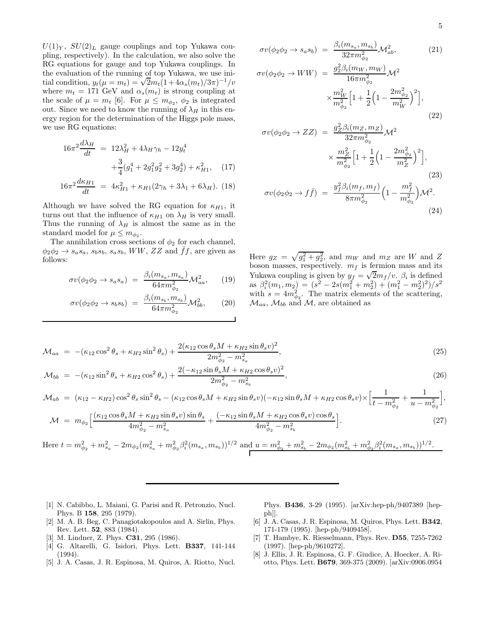$U(1)_Y$ ,  $SU(2)_L$  gauge couplings and top Yukawa coupling, respectively). In the calculation, we also solve the RG equations for gauge and top Yukawa couplings. In the evaluation of the running of top Yukawa, we use initial condition,  $y_t(\mu = m_t) = \sqrt{2}m_t(1 + 4\alpha_s(m_t)/3\pi)^{-1}/v$ where  $m_t = 171$  GeV and  $\alpha_s(m_t)$  is strong coupling at the scale of  $\mu = m_t$  [6]. For  $\mu \leq m_{\phi_2}$ ,  $\phi_2$  is integrated out. Since we need to know the running of  $\lambda_H$  in this energy region for the determination of the Higgs pole mass, we use RG equations:

$$
16\pi^2 \frac{d\lambda_H}{dt} = 12\lambda_H^2 + 4\lambda_H \gamma_h - 12y_t^4
$$
  
 
$$
+ \frac{3}{4}(g_1^4 + 2g_1^2g_2^2 + 3g_2^4) + \kappa_{H1}^2, \quad (17)
$$

$$
16\pi^2 \frac{d\kappa_{H1}}{dt} = 4\kappa_{H1}^2 + \kappa_{H1}(2\gamma_h + 3\lambda_1 + 6\lambda_H). \tag{18}
$$

Although we have solved the RG equation for  $\kappa_{H1}$ , it turns out that the influence of  $\kappa_{H1}$  on  $\lambda_H$  is very small. Thus the running of  $\lambda_H$  is almost the same as in the standard model for  $\mu \leq m_{\phi_2}$ .

The annihilation cross sections of  $\phi_2$  for each channel,  $\phi_2 \phi_2 \rightarrow s_a s_a$ ,  $s_b s_b$ ,  $s_a s_b$ , WW, ZZ and ff, are given as follows:

$$
\sigma v(\phi_2 \phi_2 \to s_a s_a) = \frac{\beta_i(m_{s_a}, m_{s_a})}{64\pi m_{\phi_2}^2} \mathcal{M}_{aa}^2, \qquad (19)
$$

$$
\sigma v(\phi_2 \phi_2 \to s_b s_b) = \frac{\beta_i(m_{s_b}, m_{s_b})}{64\pi m_{\phi_2}^2} \mathcal{M}_{bb}^2, \qquad (20)
$$

$$
5\,
$$

$$
\sigma v(\phi_2 \phi_2 \to s_a s_b) = \frac{\beta_i(m_{s_a}, m_{s_b})}{32\pi m_{\phi_2}^2} \mathcal{M}_{ab}^2,
$$
\n
$$
\sigma v(\phi_2 \phi_2 \to WW) = \frac{g_2^2 \beta_i(m_W, m_W)}{16\pi m_{\phi_2}^2} \mathcal{M}^2
$$
\n
$$
\times \frac{m_W^2}{m_{\phi_2}^2} \Big[ 1 + \frac{1}{2} \Big( 1 - \frac{2m_{\phi_2}^2}{m_W^2} \Big)^2 \Big],
$$
\n(22)

$$
\sigma v(\phi_2 \phi_2 \to ZZ) = \frac{g_Z^2 \beta_i (m_Z, m_Z)}{32 \pi m_{\phi_2}^2} \mathcal{M}^2
$$

$$
\times \frac{m_Z^2}{m_{\phi_2}^2} \Big[ 1 + \frac{1}{2} \Big( 1 - \frac{2m_{\phi_2}^2}{m_Z^2} \Big)^2 \Big],
$$
(23)
$$
\sigma v(\phi_2 \phi_2 \to f\bar{f}) = \frac{y_f^2 \beta_i (m_f, m_f)}{8 \pi m_{\phi_2}^2} \Big( 1 - \frac{m_f^2}{m_{\phi_2}^2} \Big) \mathcal{M}^2.
$$
(24)

Here  $g_Z = \sqrt{g_1^2 + g_2^2}$ , and  $m_W$  and  $m_Z$  are W and Z boson masses, respectively.  $m_f$  is fermion mass and its Yukawa coupling is given by  $y_f = \sqrt{2}m_f/v$ .  $\beta_i$  is defined as  $\beta_i^2(m_1, m_2) = (s^2 - 2s(m_1^2 + m_2^2) + (m_1^2 - m_2^2)^2)/s^2$ with  $s = 4m_{\phi_2}^2$ . The matrix elements of the scattering,  $\mathcal{M}_{aa}$ ,  $\mathcal{M}_{bb}$  and  $\mathcal{M}$ , are obtained as

$$
\mathcal{M}_{aa} = -(\kappa_{12}\cos^2\theta_s + \kappa_{H2}\sin^2\theta_s) + \frac{2(\kappa_{12}\cos\theta_s M + \kappa_{H2}\sin\theta_s v)^2}{2m_{\phi_2}^2 - m_{s_a}^2},\tag{25}
$$

$$
\mathcal{M}_{bb} = -(\kappa_{12}\sin^2\theta_s + \kappa_{H2}\cos^2\theta_s) + \frac{2(-\kappa_{12}\sin\theta_s M + \kappa_{H2}\cos\theta_s v)^2}{2m_{\phi_2}^2 - m_{s_b}^2},
$$
\n(26)

$$
\mathcal{M}_{ab} = (\kappa_{12} - \kappa_{H2}) \cos^2 \theta_s \sin^2 \theta_s - (\kappa_{12} \cos \theta_s M + \kappa_{H2} \sin \theta_s v)(-\kappa_{12} \sin \theta_s M + \kappa_{H2} \cos \theta_s v) \times \left[\frac{1}{t - m_{\phi_2}^2} + \frac{1}{u - m_{\phi_2}^2}\right],
$$

$$
\mathcal{M} = m_{\phi_2} \left[ \frac{(\kappa_{12} \cos \theta_s M + \kappa_{H2} \sin \theta_s v) \sin \theta_s}{4m_{\phi_2}^2 - m_{s_a}^2} + \frac{(-\kappa_{12} \sin \theta_s M + \kappa_{H2} \cos \theta_s v) \cos \theta_s}{4m_{\phi_2}^2 - m_{s_b}^2} \right].
$$
\n(27)

Here  $t = m_{\phi_2}^2 + m_{s_a}^2 - 2m_{\phi_2}(m_{s_a}^2 + m_{\phi_2}^2 \beta_i^2 (m_{s_a}, m_{s_b}))^{1/2}$  and  $u = m_{\phi_2}^2 + m_{s_b}^2 - 2m_{\phi_2}(m_{s_b}^2 + m_{\phi_2}^2 \beta_i^2 (m_{s_a}, m_{s_b}))^{1/2}$ .

- [1] N. Cabibbo, L. Maiani, G. Parisi and R. Petronzio, Nucl. Phys. B 158, 295 (1979).
- [2] M. A. B. Beg, C. Panagiotakopoulos and A. Sirlin, Phys. Rev. Lett. 52, 883 (1984).
- [3] M. Lindner, Z. Phys. C31, 295 (1986).
- [4] G. Altarelli, G. Isidori, Phys. Lett. B337, 141-144 (1994).
- [5] J. A. Casas, J. R. Espinosa, M. Quiros, A. Riotto, Nucl.

Phys. B436, 3-29 (1995). [arXiv:hep-ph/9407389 [hepph]].

- [6] J. A. Casas, J. R. Espinosa, M. Quiros, Phys. Lett. B342, 171-179 (1995). [hep-ph/9409458].
- [7] T. Hambye, K. Riesselmann, Phys. Rev. D55, 7255-7262 (1997). [hep-ph/9610272].
- [8] J. Ellis, J. R. Espinosa, G. F. Giudice, A. Hoecker, A. Riotto, Phys. Lett. B679, 369-375 (2009). [arXiv:0906.0954